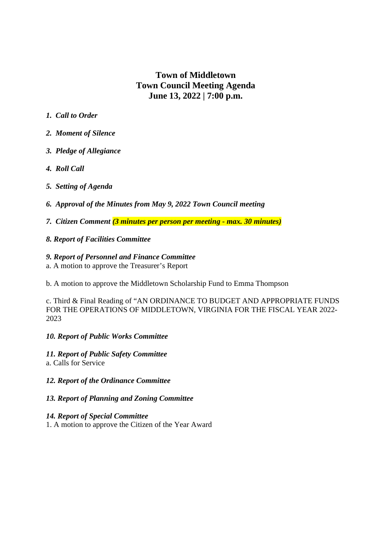# **Town of Middletown Town Council Meeting Agenda June 13, 2022 | 7:00 p.m.**

- *1. Call to Order*
- *2. Moment of Silence*
- *3. Pledge of Allegiance*
- *4. Roll Call*
- *5. Setting of Agenda*
- *6. Approval of the Minutes from May 9, 2022 Town Council meeting*
- *7. Citizen Comment (3 minutes per person per meeting max. 30 minutes)*
- *8. Report of Facilities Committee*

#### *9. Report of Personnel and Finance Committee*

a. A motion to approve the Treasurer's Report

b. A motion to approve the Middletown Scholarship Fund to Emma Thompson

c. Third & Final Reading of "AN ORDINANCE TO BUDGET AND APPROPRIATE FUNDS FOR THE OPERATIONS OF MIDDLETOWN, VIRGINIA FOR THE FISCAL YEAR 2022- 2023

## *10. Report of Public Works Committee*

# *11. Report of Public Safety Committee*

a. Calls for Service

- *12. Report of the Ordinance Committee*
- *13. Report of Planning and Zoning Committee*

#### *14. Report of Special Committee*

1. A motion to approve the Citizen of the Year Award